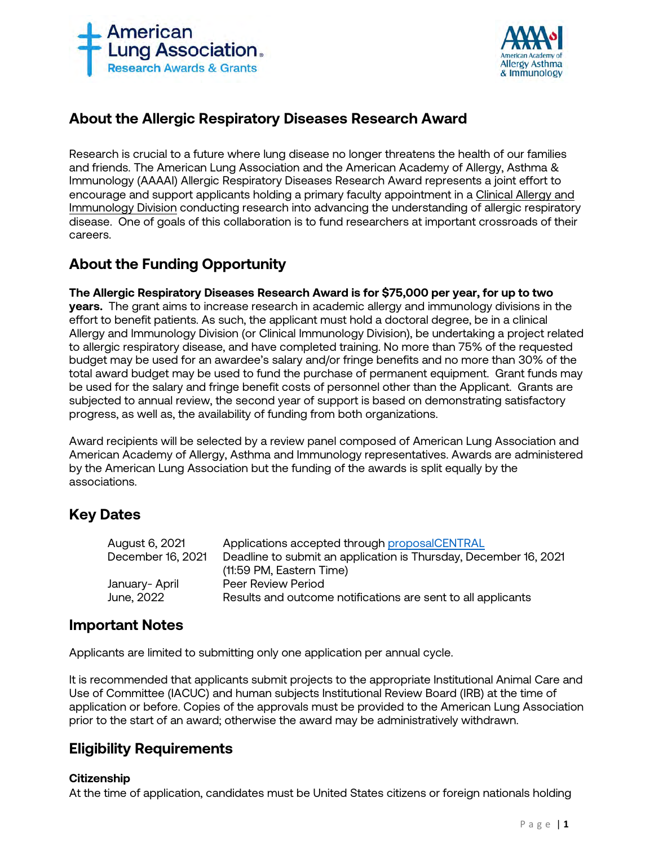



# **About the Allergic Respiratory Diseases Research Award**

Research is crucial to a future where lung disease no longer threatens the health of our families and friends. The American Lung Association and the American Academy of Allergy, Asthma & Immunology (AAAAI) Allergic Respiratory Diseases Research Award represents a joint effort to encourage and support applicants holding a primary faculty appointment in a Clinical Allergy and Immunology Division conducting research into advancing the understanding of allergic respiratory disease. One of goals of this collaboration is to fund researchers at important crossroads of their careers.

# **About the Funding Opportunity**

**The Allergic Respiratory Diseases Research Award is for \$75,000 per year, for up to two years.** The grant aims to increase research in academic allergy and immunology divisions in the effort to benefit patients. As such, the applicant must hold a doctoral degree, be in a clinical Allergy and Immunology Division (or Clinical Immunology Division), be undertaking a project related to allergic respiratory disease, and have completed training. No more than 75% of the requested budget may be used for an awardee's salary and/or fringe benefits and no more than 30% of the total award budget may be used to fund the purchase of permanent equipment. Grant funds may be used for the salary and fringe benefit costs of personnel other than the Applicant. Grants are subjected to annual review, the second year of support is based on demonstrating satisfactory progress, as well as, the availability of funding from both organizations.

Award recipients will be selected by a review panel composed of American Lung Association and American Academy of Allergy, Asthma and Immunology representatives. Awards are administered by the American Lung Association but the funding of the awards is split equally by the associations.

# **Key Dates**

| August 6, 2021    | Applications accepted through proposalCENTRAL                    |
|-------------------|------------------------------------------------------------------|
| December 16, 2021 | Deadline to submit an application is Thursday, December 16, 2021 |
|                   | (11:59 PM, Eastern Time)                                         |
| January- April    | Peer Review Period                                               |
| June, 2022        | Results and outcome notifications are sent to all applicants     |
|                   |                                                                  |

# **Important Notes**

Applicants are limited to submitting only one application per annual cycle.

It is recommended that applicants submit projects to the appropriate Institutional Animal Care and Use of Committee (IACUC) and human subjects Institutional Review Board (IRB) at the time of application or before. Copies of the approvals must be provided to the American Lung Association prior to the start of an award; otherwise the award may be administratively withdrawn.

# **Eligibility Requirements**

# **Citizenship**

At the time of application, candidates must be United States citizens or foreign nationals holding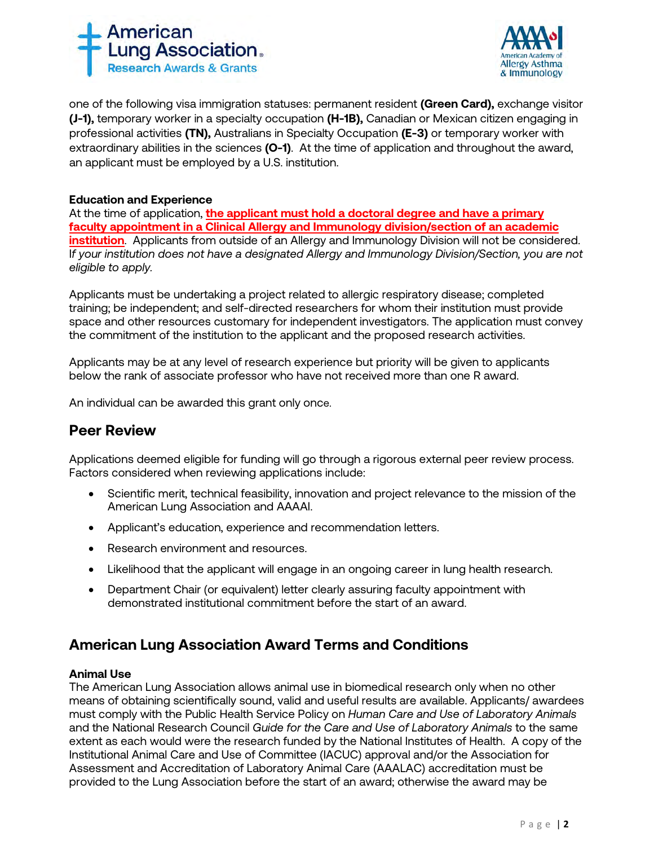



one of the following visa immigration statuses: permanent resident **(Green Card),** exchange visitor **(J-1),** temporary worker in a specialty occupation **(H-1B),** Canadian or Mexican citizen engaging in professional activities **(TN),** Australians in Specialty Occupation **(E-3)** or temporary worker with extraordinary abilities in the sciences **(O-1)**. At the time of application and throughout the award, an applicant must be employed by a U.S. institution.

## **Education and Experience**

At the time of application, **the applicant must hold a doctoral degree and have a primary faculty appointment in a Clinical Allergy and Immunology division/section of an academic institution**. Applicants from outside of an Allergy and Immunology Division will not be considered. I*f your institution does not have a designated Allergy and Immunology Division/Section, you are not eligible to apply.*

Applicants must be undertaking a project related to allergic respiratory disease; completed training; be independent; and self-directed researchers for whom their institution must provide space and other resources customary for independent investigators. The application must convey the commitment of the institution to the applicant and the proposed research activities.

Applicants may be at any level of research experience but priority will be given to applicants below the rank of associate professor who have not received more than one R award.

An individual can be awarded this grant only once.

# **Peer Review**

Applications deemed eligible for funding will go through a rigorous external peer review process. Factors considered when reviewing applications include:

- Scientific merit, technical feasibility, innovation and project relevance to the mission of the American Lung Association and AAAAI.
- Applicant's education, experience and recommendation letters.
- Research environment and resources.
- Likelihood that the applicant will engage in an ongoing career in lung health research.
- Department Chair (or equivalent) letter clearly assuring faculty appointment with demonstrated institutional commitment before the start of an award.

# **American Lung Association Award Terms and Conditions**

#### **Animal Use**

The American Lung Association allows animal use in biomedical research only when no other means of obtaining scientifically sound, valid and useful results are available. Applicants/ awardees must comply with the Public Health Service Policy on *Human Care and Use of Laboratory Animals*  and the National Research Council *Guide for the Care and Use of Laboratory Animals* to the same extent as each would were the research funded by the National Institutes of Health. A copy of the Institutional Animal Care and Use of Committee (IACUC) approval and/or the Association for Assessment and Accreditation of Laboratory Animal Care (AAALAC) accreditation must be provided to the Lung Association before the start of an award; otherwise the award may be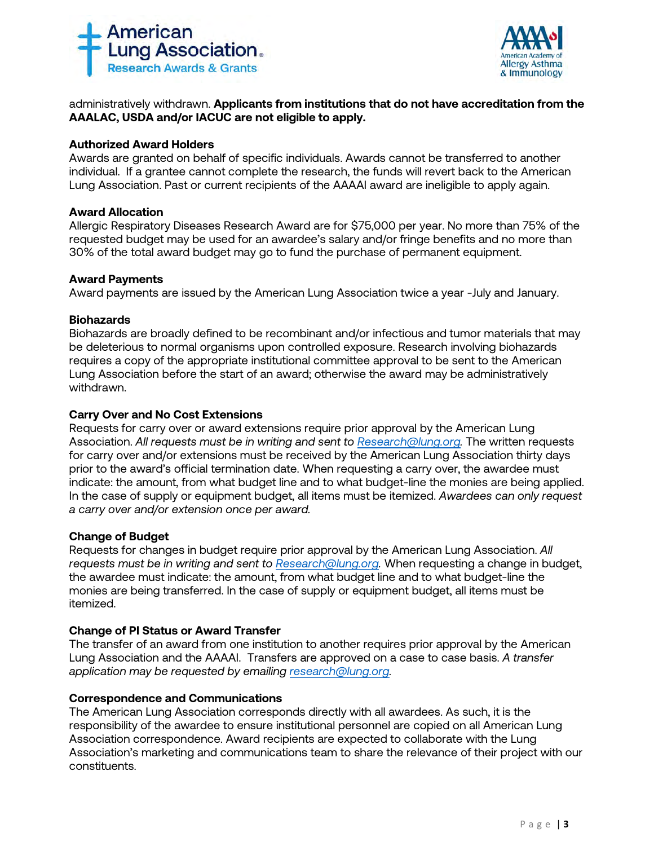



administratively withdrawn. **Applicants from institutions that do not have accreditation from the AAALAC, USDA and/or IACUC are not eligible to apply.** 

## **Authorized Award Holders**

Awards are granted on behalf of specific individuals. Awards cannot be transferred to another individual. If a grantee cannot complete the research, the funds will revert back to the American Lung Association. Past or current recipients of the AAAAI award are ineligible to apply again.

#### **Award Allocation**

Allergic Respiratory Diseases Research Award are for \$75,000 per year. No more than 75% of the requested budget may be used for an awardee's salary and/or fringe benefits and no more than 30% of the total award budget may go to fund the purchase of permanent equipment.

## **Award Payments**

Award payments are issued by the American Lung Association twice a year -July and January.

#### **Biohazards**

Biohazards are broadly defined to be recombinant and/or infectious and tumor materials that may be deleterious to normal organisms upon controlled exposure. Research involving biohazards requires a copy of the appropriate institutional committee approval to be sent to the American Lung Association before the start of an award; otherwise the award may be administratively withdrawn.

## **Carry Over and No Cost Extensions**

Requests for carry over or award extensions require prior approval by the American Lung Association. *All requests must be in writing and sent to [Research@lung.org.](mailto:Research@lung.org)* The written requests for carry over and/or extensions must be received by the American Lung Association thirty days prior to the award's official termination date. When requesting a carry over, the awardee must indicate: the amount, from what budget line and to what budget-line the monies are being applied. In the case of supply or equipment budget, all items must be itemized. *Awardees can only request a carry over and/or extension once per award.* 

## **Change of Budget**

Requests for changes in budget require prior approval by the American Lung Association. *All requests must be in writing and sent to [Research@lung.org.](mailto:Research@lung.org)* When requesting a change in budget, the awardee must indicate: the amount, from what budget line and to what budget-line the monies are being transferred. In the case of supply or equipment budget, all items must be itemized.

## **Change of PI Status or Award Transfer**

The transfer of an award from one institution to another requires prior approval by the American Lung Association and the AAAAI. Transfers are approved on a case to case basis. *A transfer application may be requested by emailing [research@lung.org.](mailto:research@lung.org)* 

## **Correspondence and Communications**

The American Lung Association corresponds directly with all awardees. As such, it is the responsibility of the awardee to ensure institutional personnel are copied on all American Lung Association correspondence. Award recipients are expected to collaborate with the Lung Association's marketing and communications team to share the relevance of their project with our constituents.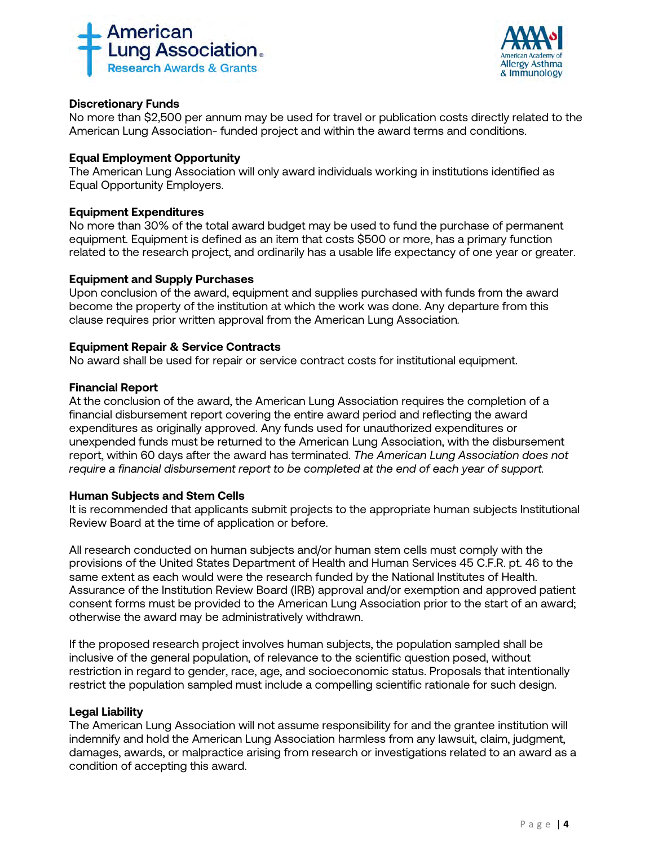



# **Discretionary Funds**

No more than \$2,500 per annum may be used for travel or publication costs directly related to the American Lung Association- funded project and within the award terms and conditions.

## **Equal Employment Opportunity**

The American Lung Association will only award individuals working in institutions identified as Equal Opportunity Employers.

#### **Equipment Expenditures**

No more than 30% of the total award budget may be used to fund the purchase of permanent equipment. Equipment is defined as an item that costs \$500 or more, has a primary function related to the research project, and ordinarily has a usable life expectancy of one year or greater.

## **Equipment and Supply Purchases**

Upon conclusion of the award, equipment and supplies purchased with funds from the award become the property of the institution at which the work was done. Any departure from this clause requires prior written approval from the American Lung Association*.*

## **Equipment Repair & Service Contracts**

No award shall be used for repair or service contract costs for institutional equipment.

#### **Financial Report**

At the conclusion of the award, the American Lung Association requires the completion of a financial disbursement report covering the entire award period and reflecting the award expenditures as originally approved. Any funds used for unauthorized expenditures or unexpended funds must be returned to the American Lung Association, with the disbursement report, within 60 days after the award has terminated. *The American Lung Association does not require a financial disbursement report to be completed at the end of each year of support.*

#### **Human Subjects and Stem Cells**

It is recommended that applicants submit projects to the appropriate human subjects Institutional Review Board at the time of application or before.

All research conducted on human subjects and/or human stem cells must comply with the provisions of the United States Department of Health and Human Services 45 C.F.R. pt. 46 to the same extent as each would were the research funded by the National Institutes of Health. Assurance of the Institution Review Board (IRB) approval and/or exemption and approved patient consent forms must be provided to the American Lung Association prior to the start of an award; otherwise the award may be administratively withdrawn.

If the proposed research project involves human subjects, the population sampled shall be inclusive of the general population, of relevance to the scientific question posed, without restriction in regard to gender, race, age, and socioeconomic status. Proposals that intentionally restrict the population sampled must include a compelling scientific rationale for such design.

## **Legal Liability**

The American Lung Association will not assume responsibility for and the grantee institution will indemnify and hold the American Lung Association harmless from any lawsuit, claim, judgment, damages, awards, or malpractice arising from research or investigations related to an award as a condition of accepting this award.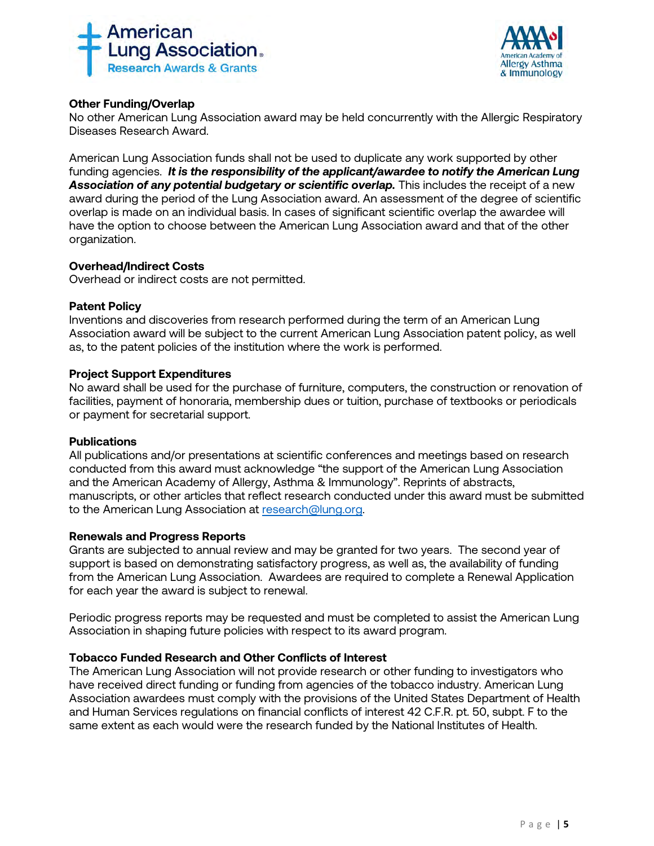



# **Other Funding/Overlap**

No other American Lung Association award may be held concurrently with the Allergic Respiratory Diseases Research Award.

American Lung Association funds shall not be used to duplicate any work supported by other funding agencies. *It is the responsibility of the applicant/awardee to notify the American Lung*  Association of any potential budgetary or scientific overlap. This includes the receipt of a new award during the period of the Lung Association award. An assessment of the degree of scientific overlap is made on an individual basis. In cases of significant scientific overlap the awardee will have the option to choose between the American Lung Association award and that of the other organization.

## **Overhead/Indirect Costs**

Overhead or indirect costs are not permitted.

## **Patent Policy**

Inventions and discoveries from research performed during the term of an American Lung Association award will be subject to the current American Lung Association patent policy, as well as, to the patent policies of the institution where the work is performed.

## **Project Support Expenditures**

No award shall be used for the purchase of furniture, computers, the construction or renovation of facilities, payment of honoraria, membership dues or tuition, purchase of textbooks or periodicals or payment for secretarial support.

## **Publications**

All publications and/or presentations at scientific conferences and meetings based on research conducted from this award must acknowledge "the support of the American Lung Association and the American Academy of Allergy, Asthma & Immunology". Reprints of abstracts, manuscripts, or other articles that reflect research conducted under this award must be submitted to the American Lung Association at [research@lung.org.](mailto:research@lung.org) 

## **Renewals and Progress Reports**

Grants are subjected to annual review and may be granted for two years. The second year of support is based on demonstrating satisfactory progress, as well as, the availability of funding from the American Lung Association. Awardees are required to complete a Renewal Application for each year the award is subject to renewal.

Periodic progress reports may be requested and must be completed to assist the American Lung Association in shaping future policies with respect to its award program.

## **Tobacco Funded Research and Other Conflicts of Interest**

The American Lung Association will not provide research or other funding to investigators who have received direct funding or funding from agencies of the tobacco industry. American Lung Association awardees must comply with the provisions of the United States Department of Health and Human Services regulations on financial conflicts of interest 42 C.F.R. pt. 50, subpt. F to the same extent as each would were the research funded by the National Institutes of Health.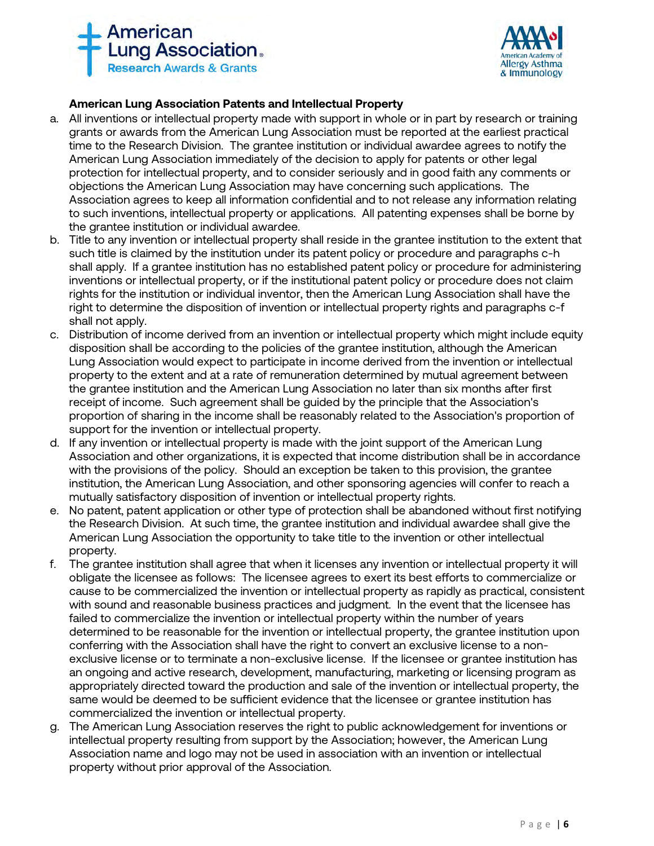



# **American Lung Association Patents and Intellectual Property**

- a. All inventions or intellectual property made with support in whole or in part by research or training grants or awards from the American Lung Association must be reported at the earliest practical time to the Research Division. The grantee institution or individual awardee agrees to notify the American Lung Association immediately of the decision to apply for patents or other legal protection for intellectual property, and to consider seriously and in good faith any comments or objections the American Lung Association may have concerning such applications. The Association agrees to keep all information confidential and to not release any information relating to such inventions, intellectual property or applications. All patenting expenses shall be borne by the grantee institution or individual awardee.
- b. Title to any invention or intellectual property shall reside in the grantee institution to the extent that such title is claimed by the institution under its patent policy or procedure and paragraphs c-h shall apply. If a grantee institution has no established patent policy or procedure for administering inventions or intellectual property, or if the institutional patent policy or procedure does not claim rights for the institution or individual inventor, then the American Lung Association shall have the right to determine the disposition of invention or intellectual property rights and paragraphs c-f shall not apply.
- c. Distribution of income derived from an invention or intellectual property which might include equity disposition shall be according to the policies of the grantee institution, although the American Lung Association would expect to participate in income derived from the invention or intellectual property to the extent and at a rate of remuneration determined by mutual agreement between the grantee institution and the American Lung Association no later than six months after first receipt of income. Such agreement shall be guided by the principle that the Association's proportion of sharing in the income shall be reasonably related to the Association's proportion of support for the invention or intellectual property.
- d. If any invention or intellectual property is made with the joint support of the American Lung Association and other organizations, it is expected that income distribution shall be in accordance with the provisions of the policy. Should an exception be taken to this provision, the grantee institution, the American Lung Association, and other sponsoring agencies will confer to reach a mutually satisfactory disposition of invention or intellectual property rights.
- e. No patent, patent application or other type of protection shall be abandoned without first notifying the Research Division. At such time, the grantee institution and individual awardee shall give the American Lung Association the opportunity to take title to the invention or other intellectual property.
- f. The grantee institution shall agree that when it licenses any invention or intellectual property it will obligate the licensee as follows: The licensee agrees to exert its best efforts to commercialize or cause to be commercialized the invention or intellectual property as rapidly as practical, consistent with sound and reasonable business practices and judgment. In the event that the licensee has failed to commercialize the invention or intellectual property within the number of years determined to be reasonable for the invention or intellectual property, the grantee institution upon conferring with the Association shall have the right to convert an exclusive license to a nonexclusive license or to terminate a non-exclusive license. If the licensee or grantee institution has an ongoing and active research, development, manufacturing, marketing or licensing program as appropriately directed toward the production and sale of the invention or intellectual property, the same would be deemed to be sufficient evidence that the licensee or grantee institution has commercialized the invention or intellectual property.
- g. The American Lung Association reserves the right to public acknowledgement for inventions or intellectual property resulting from support by the Association; however, the American Lung Association name and logo may not be used in association with an invention or intellectual property without prior approval of the Association.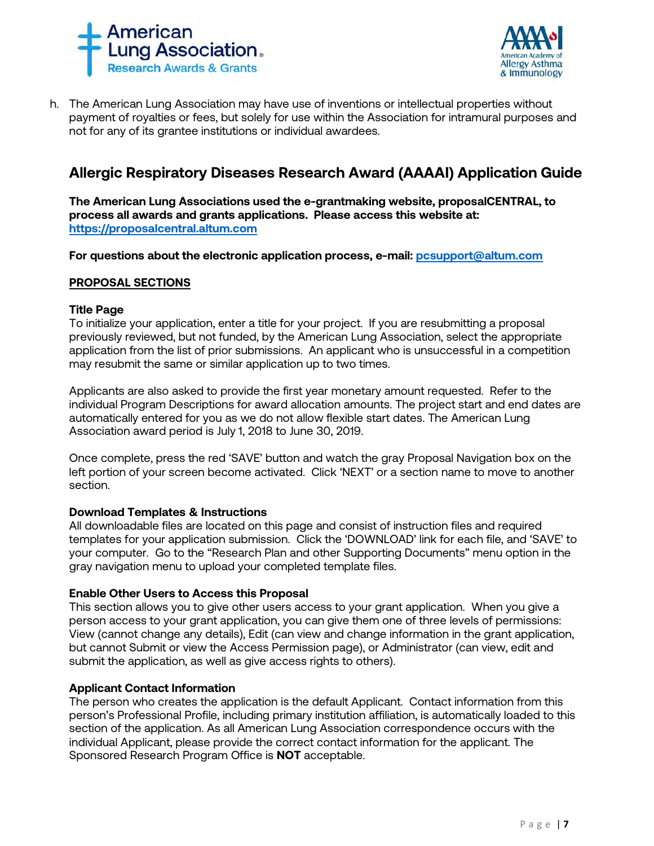



h. The American Lung Association may have use of inventions or intellectual properties without payment of royalties or fees, but solely for use within the Association for intramural purposes and not for any of its grantee institutions or individual awardees.

# **Allergic Respiratory Diseases Research Award (AAAAI) Application Guide**

**The American Lung Associations used the e-grantmaking website, proposalCENTRAL, to process all awards and grants applications. Please access this website at: [https://proposalcentral.altum.com](https://proposalcentral.altum.com/)**

**For questions about the electronic application process, e-mail: [pcsupport@altum.com](mailto:PCSUPPORT@ALTUM.COM)** 

#### **PROPOSAL SECTIONS**

#### **Title Page**

To initialize your application, enter a title for your project. If you are resubmitting a proposal previously reviewed, but not funded, by the American Lung Association, select the appropriate application from the list of prior submissions. An applicant who is unsuccessful in a competition may resubmit the same or similar application up to two times.

Applicants are also asked to provide the first year monetary amount requested. Refer to the individual Program Descriptions for award allocation amounts. The project start and end dates are automatically entered for you as we do not allow flexible start dates. The American Lung Association award period is July 1, 2018 to June 30, 2019.

Once complete, press the red 'SAVE' button and watch the gray Proposal Navigation box on the left portion of your screen become activated. Click 'NEXT' or a section name to move to another section.

#### **Download Templates & Instructions**

All downloadable files are located on this page and consist of instruction files and required templates for your application submission. Click the 'DOWNLOAD' link for each file, and 'SAVE' to your computer*.* Go to the "Research Plan and other Supporting Documents" menu option in the gray navigation menu to upload your completed template files.

## **Enable Other Users to Access this Proposal**

This section allows you to give other users access to your grant application. When you give a person access to your grant application, you can give them one of three levels of permissions: View (cannot change any details), Edit (can view and change information in the grant application, but cannot Submit or view the Access Permission page), or Administrator (can view, edit and submit the application, as well as give access rights to others).

## **Applicant Contact Information**

The person who creates the application is the default Applicant. Contact information from this person's Professional Profile, including primary institution affiliation, is automatically loaded to this section of the application. As all American Lung Association correspondence occurs with the individual Applicant, please provide the correct contact information for the applicant. The Sponsored Research Program Office is **NOT** acceptable.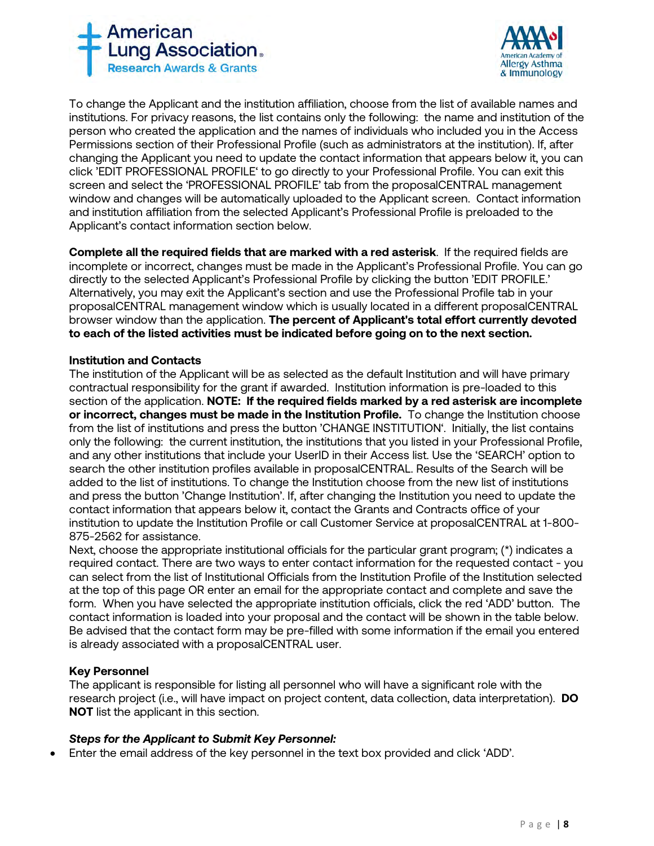



To change the Applicant and the institution affiliation, choose from the list of available names and institutions. For privacy reasons, the list contains only the following: the name and institution of the person who created the application and the names of individuals who included you in the Access Permissions section of their Professional Profile (such as administrators at the institution). If, after changing the Applicant you need to update the contact information that appears below it, you can click 'EDIT PROFESSIONAL PROFILE' to go directly to your Professional Profile. You can exit this screen and select the 'PROFESSIONAL PROFILE' tab from the proposalCENTRAL management window and changes will be automatically uploaded to the Applicant screen. Contact information and institution affiliation from the selected Applicant's Professional Profile is preloaded to the Applicant's contact information section below.

**Complete all the required fields that are marked with a red asterisk**.If the required fields are incomplete or incorrect, changes must be made in the Applicant's Professional Profile. You can go directly to the selected Applicant's Professional Profile by clicking the button 'EDIT PROFILE.' Alternatively, you may exit the Applicant's section and use the Professional Profile tab in your proposalCENTRAL management window which is usually located in a different proposalCENTRAL browser window than the application. **The percent of Applicant's total effort currently devoted to each of the listed activities must be indicated before going on to the next section.**

## **Institution and Contacts**

The institution of the Applicant will be as selected as the default Institution and will have primary contractual responsibility for the grant if awarded. Institution information is pre-loaded to this section of the application. **NOTE: If the required fields marked by a red asterisk are incomplete or incorrect, changes must be made in the Institution Profile.** To change the Institution choose from the list of institutions and press the button 'CHANGE INSTITUTION'. Initially, the list contains only the following: the current institution, the institutions that you listed in your Professional Profile, and any other institutions that include your UserID in their Access list. Use the 'SEARCH' option to search the other institution profiles available in proposalCENTRAL. Results of the Search will be added to the list of institutions. To change the Institution choose from the new list of institutions and press the button 'Change Institution'. If, after changing the Institution you need to update the contact information that appears below it, contact the Grants and Contracts office of your institution to update the Institution Profile or call Customer Service at proposalCENTRAL at 1-800- 875-2562 for assistance.

Next, choose the appropriate institutional officials for the particular grant program; (\*) indicates a required contact. There are two ways to enter contact information for the requested contact - you can select from the list of Institutional Officials from the Institution Profile of the Institution selected at the top of this page OR enter an email for the appropriate contact and complete and save the form. When you have selected the appropriate institution officials, click the red 'ADD' button. The contact information is loaded into your proposal and the contact will be shown in the table below. Be advised that the contact form may be pre-filled with some information if the email you entered is already associated with a proposalCENTRAL user.

## **Key Personnel**

The applicant is responsible for listing all personnel who will have a significant role with the research project (i.e., will have impact on project content, data collection, data interpretation). **DO NOT** list the applicant in this section.

## *Steps for the Applicant to Submit Key Personnel:*

• Enter the email address of the key personnel in the text box provided and click 'ADD'.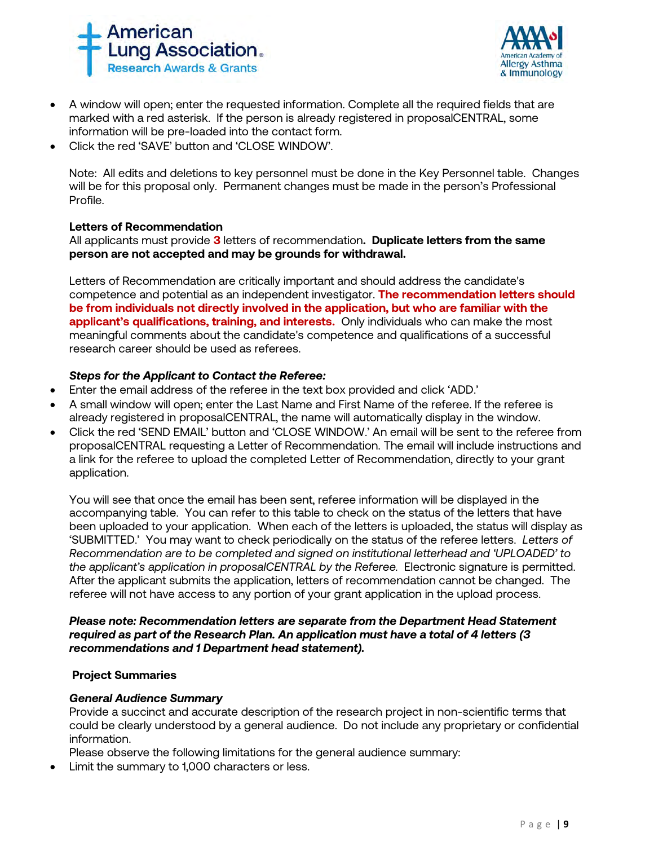



- A window will open; enter the requested information. Complete all the required fields that are marked with a red asterisk. If the person is already registered in proposalCENTRAL, some information will be pre-loaded into the contact form.
- Click the red 'SAVE' button and 'CLOSE WINDOW'.

Note: All edits and deletions to key personnel must be done in the Key Personnel table. Changes will be for this proposal only. Permanent changes must be made in the person's Professional Profile.

#### **Letters of Recommendation**

All applicants must provide **3** letters of recommendation**. Duplicate letters from the same person are not accepted and may be grounds for withdrawal.**

Letters of Recommendation are critically important and should address the candidate's competence and potential as an independent investigator. **The recommendation letters should be from individuals not directly involved in the application, but who are familiar with the applicant's qualifications, training, and interests.** Only individuals who can make the most meaningful comments about the candidate's competence and qualifications of a successful research career should be used as referees.

## *Steps for the Applicant to Contact the Referee:*

- Enter the email address of the referee in the text box provided and click 'ADD.'
- A small window will open; enter the Last Name and First Name of the referee. If the referee is already registered in proposalCENTRAL, the name will automatically display in the window.
- Click the red 'SEND EMAIL' button and 'CLOSE WINDOW.' An email will be sent to the referee from proposalCENTRAL requesting a Letter of Recommendation. The email will include instructions and a link for the referee to upload the completed Letter of Recommendation, directly to your grant application.

You will see that once the email has been sent, referee information will be displayed in the accompanying table. You can refer to this table to check on the status of the letters that have been uploaded to your application. When each of the letters is uploaded, the status will display as 'SUBMITTED.' You may want to check periodically on the status of the referee letters. *Letters of Recommendation are to be completed and signed on institutional letterhead and 'UPLOADED' to the applicant's application in proposalCENTRAL by the Referee.* Electronic signature is permitted. After the applicant submits the application, letters of recommendation cannot be changed. The referee will not have access to any portion of your grant application in the upload process.

#### *Please note: Recommendation letters are separate from the Department Head Statement required as part of the Research Plan. An application must have a total of 4 letters (3 recommendations and 1 Department head statement).*

#### **Project Summaries**

#### *General Audience Summary*

Provide a succinct and accurate description of the research project in non-scientific terms that could be clearly understood by a general audience. Do not include any proprietary or confidential information.

Please observe the following limitations for the general audience summary:

Limit the summary to 1,000 characters or less.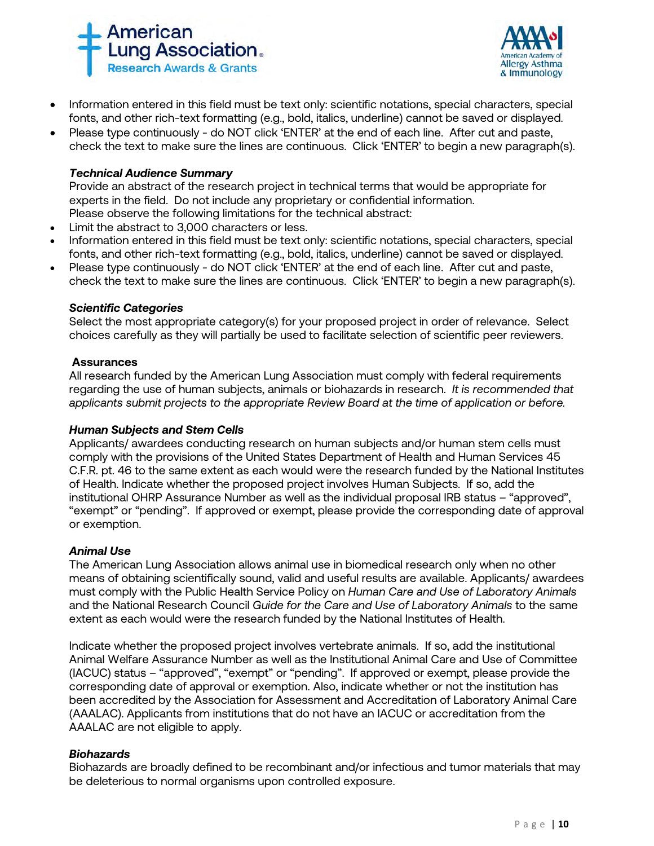



- Information entered in this field must be text only: scientific notations, special characters, special fonts, and other rich-text formatting (e.g., bold, italics, underline) cannot be saved or displayed.
- Please type continuously do NOT click 'ENTER' at the end of each line. After cut and paste, check the text to make sure the lines are continuous. Click 'ENTER' to begin a new paragraph(s).

## *Technical Audience Summary*

Provide an abstract of the research project in technical terms that would be appropriate for experts in the field. Do not include any proprietary or confidential information. Please observe the following limitations for the technical abstract:

- Limit the abstract to 3,000 characters or less.
- Information entered in this field must be text only: scientific notations, special characters, special fonts, and other rich-text formatting (e.g., bold, italics, underline) cannot be saved or displayed.
- Please type continuously do NOT click 'ENTER' at the end of each line. After cut and paste, check the text to make sure the lines are continuous. Click 'ENTER' to begin a new paragraph(s).

#### *Scientific Categories*

Select the most appropriate category(s) for your proposed project in order of relevance. Select choices carefully as they will partially be used to facilitate selection of scientific peer reviewers.

#### **Assurances**

All research funded by the American Lung Association must comply with federal requirements regarding the use of human subjects, animals or biohazards in research. *It is recommended that applicants submit projects to the appropriate Review Board at the time of application or before.* 

#### *Human Subjects and Stem Cells*

Applicants/ awardees conducting research on human subjects and/or human stem cells must comply with the provisions of the United States Department of Health and Human Services 45 C.F.R. pt. 46 to the same extent as each would were the research funded by the National Institutes of Health. Indicate whether the proposed project involves Human Subjects. If so, add the institutional OHRP Assurance Number as well as the individual proposal IRB status – "approved", "exempt" or "pending". If approved or exempt, please provide the corresponding date of approval or exemption.

#### *Animal Use*

The American Lung Association allows animal use in biomedical research only when no other means of obtaining scientifically sound, valid and useful results are available. Applicants/ awardees must comply with the Public Health Service Policy on *Human Care and Use of Laboratory Animals*  and the National Research Council *Guide for the Care and Use of Laboratory Animals* to the same extent as each would were the research funded by the National Institutes of Health.

Indicate whether the proposed project involves vertebrate animals. If so, add the institutional Animal Welfare Assurance Number as well as the Institutional Animal Care and Use of Committee (IACUC) status – "approved", "exempt" or "pending". If approved or exempt, please provide the corresponding date of approval or exemption. Also, indicate whether or not the institution has been accredited by the Association for Assessment and Accreditation of Laboratory Animal Care (AAALAC). Applicants from institutions that do not have an IACUC or accreditation from the AAALAC are not eligible to apply.

#### *Biohazards*

Biohazards are broadly defined to be recombinant and/or infectious and tumor materials that may be deleterious to normal organisms upon controlled exposure.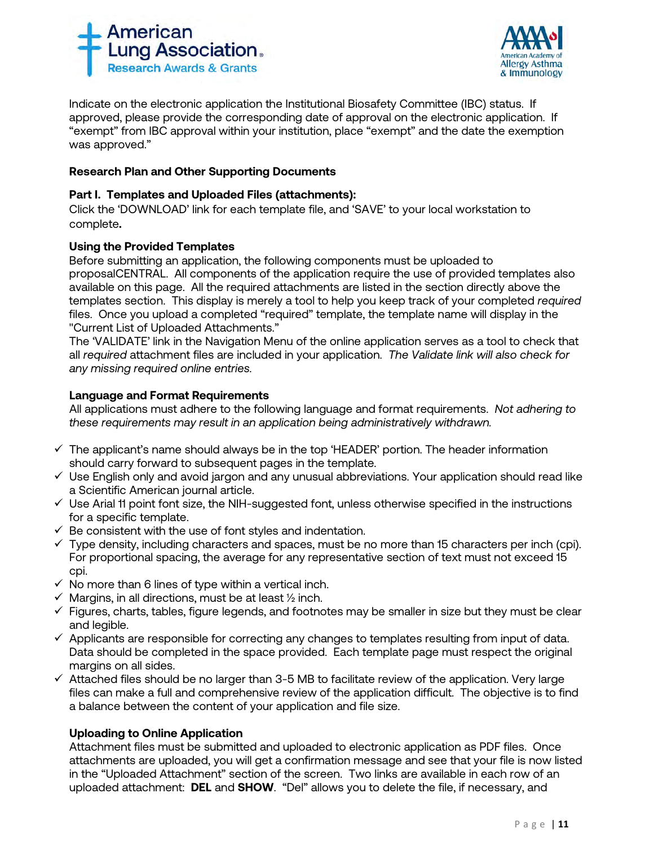



Indicate on the electronic application the Institutional Biosafety Committee (IBC) status. If approved, please provide the corresponding date of approval on the electronic application. If "exempt" from IBC approval within your institution, place "exempt" and the date the exemption was approved."

## **Research Plan and Other Supporting Documents**

## **Part I. Templates and Uploaded Files (attachments):**

Click the 'DOWNLOAD' link for each template file, and 'SAVE' to your local workstation to complete**.**

## **Using the Provided Templates**

Before submitting an application, the following components must be uploaded to proposalCENTRAL. All components of the application require the use of provided templates also available on this page. All the required attachments are listed in the section directly above the templates section. This display is merely a tool to help you keep track of your completed *required*  files. Once you upload a completed "required" template, the template name will display in the "Current List of Uploaded Attachments."

The 'VALIDATE' link in the Navigation Menu of the online application serves as a tool to check that all *required* attachment files are included in your application. *The Validate link will also check for any missing required online entries.*

## **Language and Format Requirements**

All applications must adhere to the following language and format requirements. *Not adhering to these requirements may result in an application being administratively withdrawn.*

- $\checkmark$  The applicant's name should always be in the top 'HEADER' portion. The header information should carry forward to subsequent pages in the template.
- $\checkmark$  Use English only and avoid jargon and any unusual abbreviations. Your application should read like a Scientific American journal article.
- $\checkmark$  Use Arial 11 point font size, the NIH-suggested font, unless otherwise specified in the instructions for a specific template.
- $\checkmark$  Be consistent with the use of font styles and indentation.
- $\checkmark$  Type density, including characters and spaces, must be no more than 15 characters per inch (cpi). For proportional spacing, the average for any representative section of text must not exceed 15 cpi.
- $\checkmark$  No more than 6 lines of type within a vertical inch.
- $\checkmark$  Margins, in all directions, must be at least  $\frac{1}{2}$  inch.
- $\checkmark$  Figures, charts, tables, figure legends, and footnotes may be smaller in size but they must be clear and legible.
- $\checkmark$  Applicants are responsible for correcting any changes to templates resulting from input of data. Data should be completed in the space provided. Each template page must respect the original margins on all sides.
- $\checkmark$  Attached files should be no larger than 3-5 MB to facilitate review of the application. Very large files can make a full and comprehensive review of the application difficult. The objective is to find a balance between the content of your application and file size.

## **Uploading to Online Application**

Attachment files must be submitted and uploaded to electronic application as PDF files. Once attachments are uploaded, you will get a confirmation message and see that your file is now listed in the "Uploaded Attachment" section of the screen. Two links are available in each row of an uploaded attachment: **DEL** and **SHOW**. "Del" allows you to delete the file, if necessary, and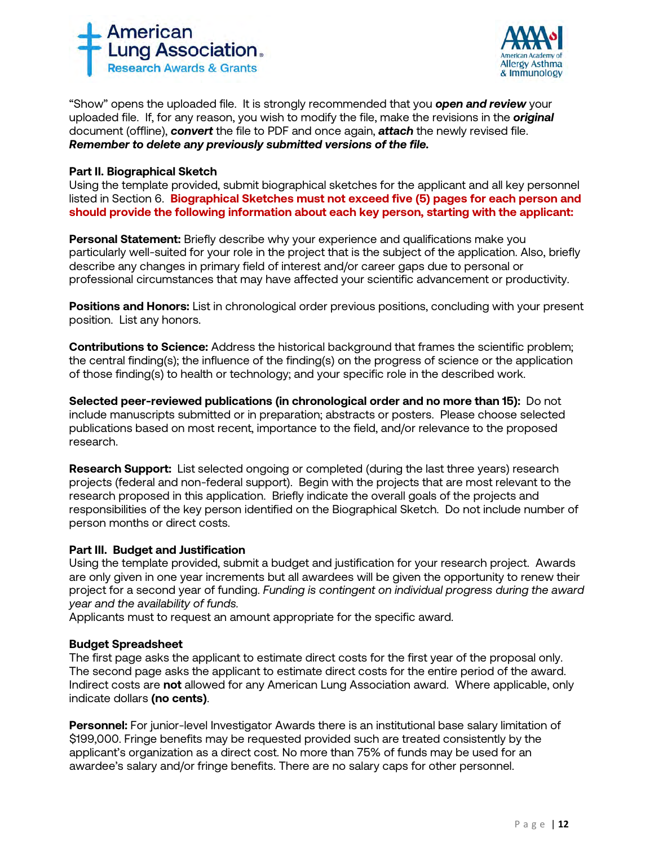



"Show" opens the uploaded file. It is strongly recommended that you *open and review* your uploaded file. If, for any reason, you wish to modify the file, make the revisions in the *original* document (offline), *convert* the file to PDF and once again, *attach* the newly revised file. *Remember to delete any previously submitted versions of the file.*

## **Part II. Biographical Sketch**

Using the template provided, submit biographical sketches for the applicant and all key personnel listed in Section 6. **Biographical Sketches must not exceed five (5) pages for each person and should provide the following information about each key person, starting with the applicant:**

**Personal Statement:** Briefly describe why your experience and qualifications make you particularly well-suited for your role in the project that is the subject of the application. Also, briefly describe any changes in primary field of interest and/or career gaps due to personal or professional circumstances that may have affected your scientific advancement or productivity.

**Positions and Honors:** List in chronological order previous positions, concluding with your present position. List any honors.

**Contributions to Science:** Address the historical background that frames the scientific problem; the central finding(s); the influence of the finding(s) on the progress of science or the application of those finding(s) to health or technology; and your specific role in the described work.

**Selected peer-reviewed publications (in chronological order and no more than 15):** Do not include manuscripts submitted or in preparation; abstracts or posters. Please choose selected publications based on most recent, importance to the field, and/or relevance to the proposed research.

**Research Support:** List selected ongoing or completed (during the last three years) research projects (federal and non-federal support). Begin with the projects that are most relevant to the research proposed in this application. Briefly indicate the overall goals of the projects and responsibilities of the key person identified on the Biographical Sketch. Do not include number of person months or direct costs.

## **Part III. Budget and Justification**

Using the template provided, submit a budget and justification for your research project. Awards are only given in one year increments but all awardees will be given the opportunity to renew their project for a second year of funding. *Funding is contingent on individual progress during the award year and the availability of funds.*

Applicants must to request an amount appropriate for the specific award.

## **Budget Spreadsheet**

The first page asks the applicant to estimate direct costs for the first year of the proposal only. The second page asks the applicant to estimate direct costs for the entire period of the award. Indirect costs are **not** allowed for any American Lung Association award. Where applicable, only indicate dollars **(no cents)**.

**Personnel:** For junior-level Investigator Awards there is an institutional base salary limitation of \$199,000. Fringe benefits may be requested provided such are treated consistently by the applicant's organization as a direct cost. No more than 75% of funds may be used for an awardee's salary and/or fringe benefits. There are no salary caps for other personnel.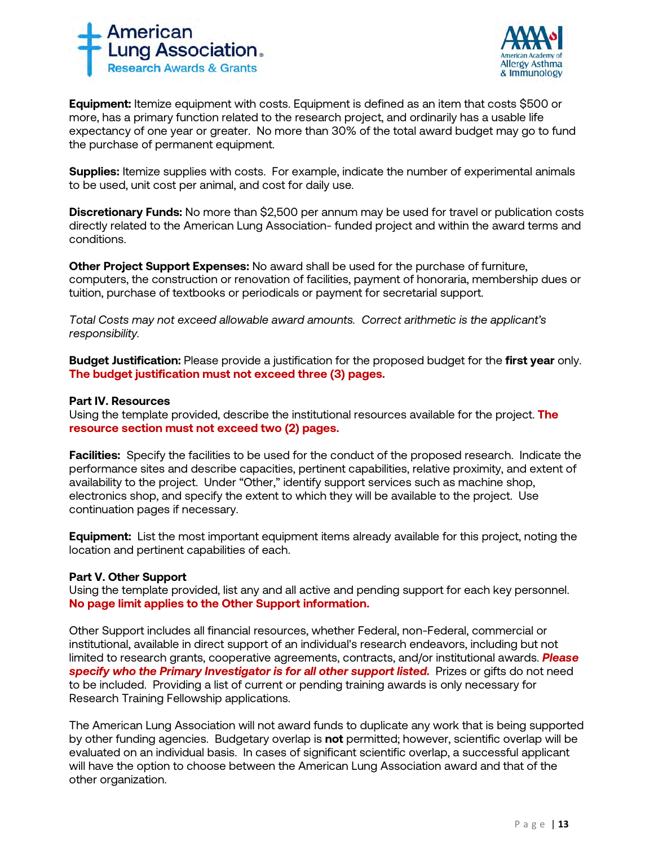



**Equipment:** Itemize equipment with costs. Equipment is defined as an item that costs \$500 or more, has a primary function related to the research project, and ordinarily has a usable life expectancy of one year or greater. No more than 30% of the total award budget may go to fund the purchase of permanent equipment.

**Supplies:** Itemize supplies with costs. For example, indicate the number of experimental animals to be used, unit cost per animal, and cost for daily use.

**Discretionary Funds:** No more than \$2,500 per annum may be used for travel or publication costs directly related to the American Lung Association- funded project and within the award terms and conditions.

**Other Project Support Expenses:** No award shall be used for the purchase of furniture, computers, the construction or renovation of facilities, payment of honoraria, membership dues or tuition, purchase of textbooks or periodicals or payment for secretarial support.

*Total Costs may not exceed allowable award amounts. Correct arithmetic is the applicant's responsibility.*

**Budget Justification:** Please provide a justification for the proposed budget for the **first year** only. **The budget justification must not exceed three (3) pages.** 

#### **Part IV. Resources**

Using the template provided, describe the institutional resources available for the project. **The resource section must not exceed two (2) pages.**

**Facilities:** Specify the facilities to be used for the conduct of the proposed research. Indicate the performance sites and describe capacities, pertinent capabilities, relative proximity, and extent of availability to the project. Under "Other," identify support services such as machine shop, electronics shop, and specify the extent to which they will be available to the project. Use continuation pages if necessary.

**Equipment:** List the most important equipment items already available for this project, noting the location and pertinent capabilities of each.

## **Part V. Other Support**

Using the template provided, list any and all active and pending support for each key personnel. **No page limit applies to the Other Support information.**

Other Support includes all financial resources, whether Federal, non-Federal, commercial or institutional, available in direct support of an individual's research endeavors, including but not limited to research grants, cooperative agreements, contracts, and/or institutional awards. *Please specify who the Primary Investigator is for all other support listed.* Prizes or gifts do not need to be included. Providing a list of current or pending training awards is only necessary for Research Training Fellowship applications.

The American Lung Association will not award funds to duplicate any work that is being supported by other funding agencies. Budgetary overlap is **not** permitted; however, scientific overlap will be evaluated on an individual basis. In cases of significant scientific overlap, a successful applicant will have the option to choose between the American Lung Association award and that of the other organization.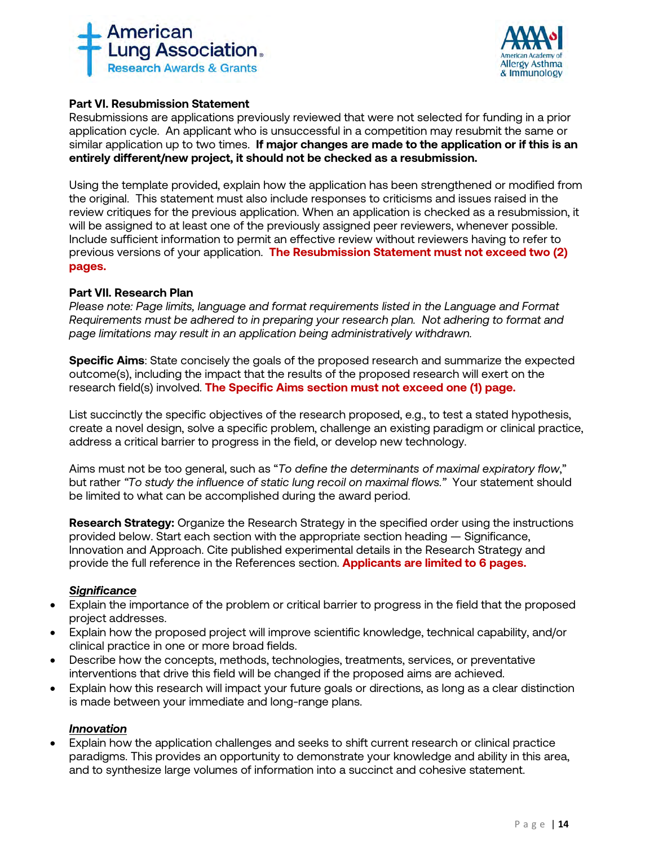



## **Part VI. Resubmission Statement**

Resubmissions are applications previously reviewed that were not selected for funding in a prior application cycle. An applicant who is unsuccessful in a competition may resubmit the same or similar application up to two times. **If major changes are made to the application or if this is an entirely different/new project, it should not be checked as a resubmission.**

Using the template provided, explain how the application has been strengthened or modified from the original. This statement must also include responses to criticisms and issues raised in the review critiques for the previous application. When an application is checked as a resubmission, it will be assigned to at least one of the previously assigned peer reviewers, whenever possible. Include sufficient information to permit an effective review without reviewers having to refer to previous versions of your application. **The Resubmission Statement must not exceed two (2) pages.**

## **Part VII. Research Plan**

*Please note: Page limits, language and format requirements listed in the Language and Format Requirements must be adhered to in preparing your research plan. Not adhering to format and page limitations may result in an application being administratively withdrawn.*

**Specific Aims**: State concisely the goals of the proposed research and summarize the expected outcome(s), including the impact that the results of the proposed research will exert on the research field(s) involved. **The Specific Aims section must not exceed one (1) page.**

List succinctly the specific objectives of the research proposed, e.g., to test a stated hypothesis, create a novel design, solve a specific problem, challenge an existing paradigm or clinical practice, address a critical barrier to progress in the field, or develop new technology.

Aims must not be too general, such as "*To define the determinants of maximal expiratory flow*," but rather *"To study the influence of static lung recoil on maximal flows."* Your statement should be limited to what can be accomplished during the award period.

**Research Strategy:** Organize the Research Strategy in the specified order using the instructions provided below. Start each section with the appropriate section heading — Significance, Innovation and Approach. Cite published experimental details in the Research Strategy and provide the full reference in the References section. **Applicants are limited to 6 pages.**

## *Significance*

- Explain the importance of the problem or critical barrier to progress in the field that the proposed project addresses.
- Explain how the proposed project will improve scientific knowledge, technical capability, and/or clinical practice in one or more broad fields.
- Describe how the concepts, methods, technologies, treatments, services, or preventative interventions that drive this field will be changed if the proposed aims are achieved.
- Explain how this research will impact your future goals or directions, as long as a clear distinction is made between your immediate and long-range plans.

## *Innovation*

• Explain how the application challenges and seeks to shift current research or clinical practice paradigms. This provides an opportunity to demonstrate your knowledge and ability in this area, and to synthesize large volumes of information into a succinct and cohesive statement.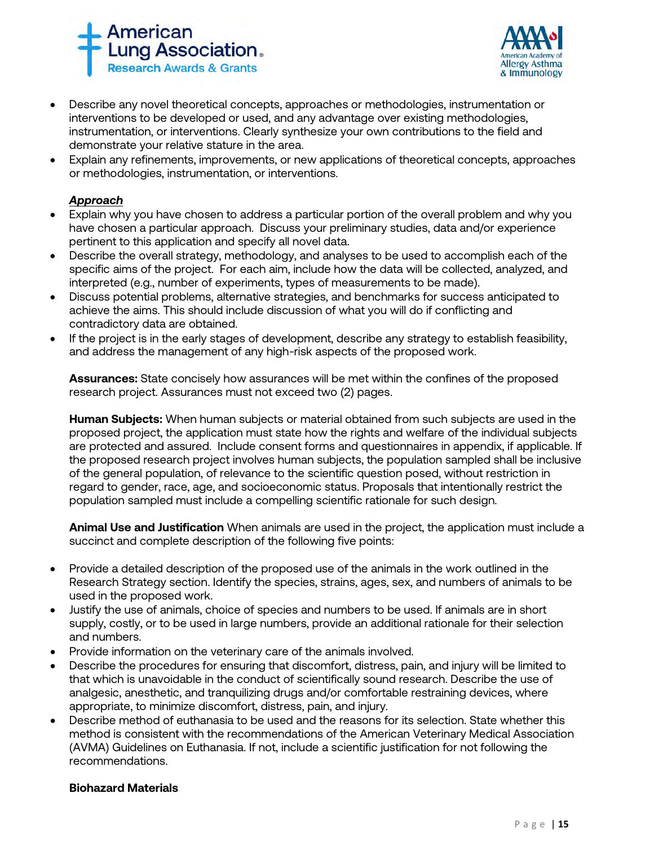



- Describe any novel theoretical concepts, approaches or methodologies, instrumentation or interventions to be developed or used, and any advantage over existing methodologies, instrumentation, or interventions. Clearly synthesize your own contributions to the field and demonstrate your relative stature in the area.
- Explain any refinements, improvements, or new applications of theoretical concepts, approaches or methodologies, instrumentation, or interventions.

# *Approach*

- Explain why you have chosen to address a particular portion of the overall problem and why you have chosen a particular approach. Discuss your preliminary studies, data and/or experience pertinent to this application and specify all novel data.
- Describe the overall strategy, methodology, and analyses to be used to accomplish each of the specific aims of the project. For each aim, include how the data will be collected, analyzed, and interpreted (e.g., number of experiments, types of measurements to be made).
- Discuss potential problems, alternative strategies, and benchmarks for success anticipated to achieve the aims. This should include discussion of what you will do if conflicting and contradictory data are obtained.
- If the project is in the early stages of development, describe any strategy to establish feasibility, and address the management of any high-risk aspects of the proposed work.

**Assurances:** State concisely how assurances will be met within the confines of the proposed research project. Assurances must not exceed two (2) pages.

**Human Subjects:** When human subjects or material obtained from such subjects are used in the proposed project, the application must state how the rights and welfare of the individual subjects are protected and assured. Include consent forms and questionnaires in appendix, if applicable. If the proposed research project involves human subjects, the population sampled shall be inclusive of the general population, of relevance to the scientific question posed, without restriction in regard to gender, race, age, and socioeconomic status. Proposals that intentionally restrict the population sampled must include a compelling scientific rationale for such design.

**Animal Use and Justification** When animals are used in the project, the application must include a succinct and complete description of the following five points:

- Provide a detailed description of the proposed use of the animals in the work outlined in the Research Strategy section. Identify the species, strains, ages, sex, and numbers of animals to be used in the proposed work.
- Justify the use of animals, choice of species and numbers to be used. If animals are in short supply, costly, or to be used in large numbers, provide an additional rationale for their selection and numbers.
- Provide information on the veterinary care of the animals involved.
- Describe the procedures for ensuring that discomfort, distress, pain, and injury will be limited to that which is unavoidable in the conduct of scientifically sound research. Describe the use of analgesic, anesthetic, and tranquilizing drugs and/or comfortable restraining devices, where appropriate, to minimize discomfort, distress, pain, and injury.
- Describe method of euthanasia to be used and the reasons for its selection. State whether this method is consistent with the recommendations of the American Veterinary Medical Association (AVMA) Guidelines on Euthanasia. If not, include a scientific justification for not following the recommendations.

## **Biohazard Materials**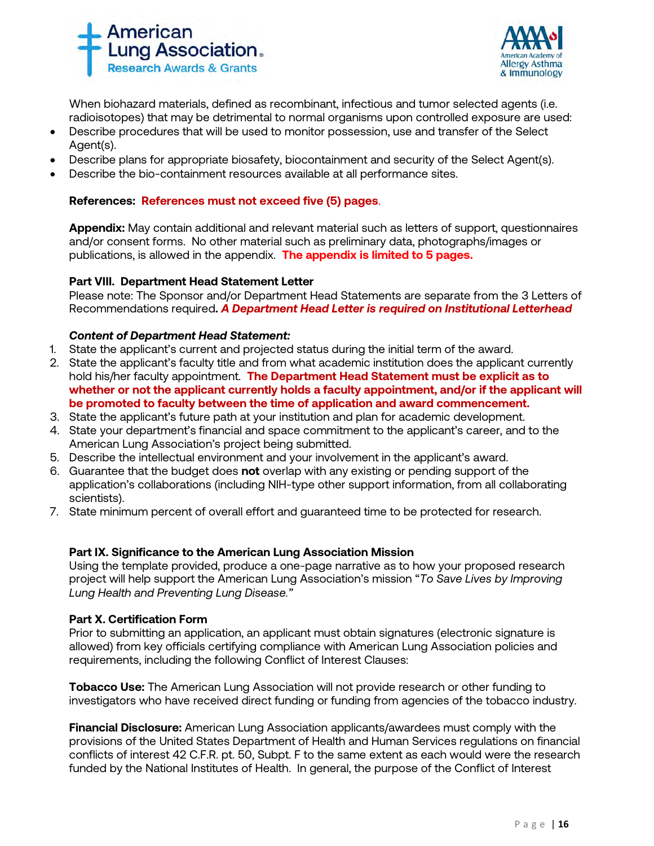



When biohazard materials, defined as recombinant, infectious and tumor selected agents (i.e. radioisotopes) that may be detrimental to normal organisms upon controlled exposure are used:

- Describe procedures that will be used to monitor possession, use and transfer of the Select Agent(s).
- Describe plans for appropriate biosafety, biocontainment and security of the Select Agent(s).
- Describe the bio-containment resources available at all performance sites.

## **References: References must not exceed five (5) pages**.

**Appendix:** May contain additional and relevant material such as letters of support, questionnaires and/or consent forms. No other material such as preliminary data, photographs/images or publications, is allowed in the appendix. **The appendix is limited to 5 pages.**

## **Part VIII. Department Head Statement Letter**

Please note: The Sponsor and/or Department Head Statements are separate from the 3 Letters of Recommendations required**.** *A Department Head Letter is required on Institutional Letterhead*

## *Content of Department Head Statement:*

- 1. State the applicant's current and projected status during the initial term of the award.
- 2. State the applicant's faculty title and from what academic institution does the applicant currently hold his/her faculty appointment. **The Department Head Statement must be explicit as to whether or not the applicant currently holds a faculty appointment, and/or if the applicant will be promoted to faculty between the time of application and award commencement.**
- 3. State the applicant's future path at your institution and plan for academic development.
- 4. State your department's financial and space commitment to the applicant's career, and to the American Lung Association's project being submitted.
- 5. Describe the intellectual environment and your involvement in the applicant's award.
- 6. Guarantee that the budget does **not** overlap with any existing or pending support of the application's collaborations (including NIH-type other support information, from all collaborating scientists).
- 7. State minimum percent of overall effort and guaranteed time to be protected for research.

## **Part IX. Significance to the American Lung Association Mission**

Using the template provided, produce a one-page narrative as to how your proposed research project will help support the American Lung Association's mission "*To Save Lives by Improving Lung Health and Preventing Lung Disease."*

## **Part X. Certification Form**

Prior to submitting an application, an applicant must obtain signatures (electronic signature is allowed) from key officials certifying compliance with American Lung Association policies and requirements, including the following Conflict of Interest Clauses:

**Tobacco Use:** The American Lung Association will not provide research or other funding to investigators who have received direct funding or funding from agencies of the tobacco industry.

**Financial Disclosure:** American Lung Association applicants/awardees must comply with the provisions of the United States Department of Health and Human Services regulations on financial conflicts of interest 42 C.F.R. pt. 50, Subpt. F to the same extent as each would were the research funded by the National Institutes of Health. In general, the purpose of the Conflict of Interest